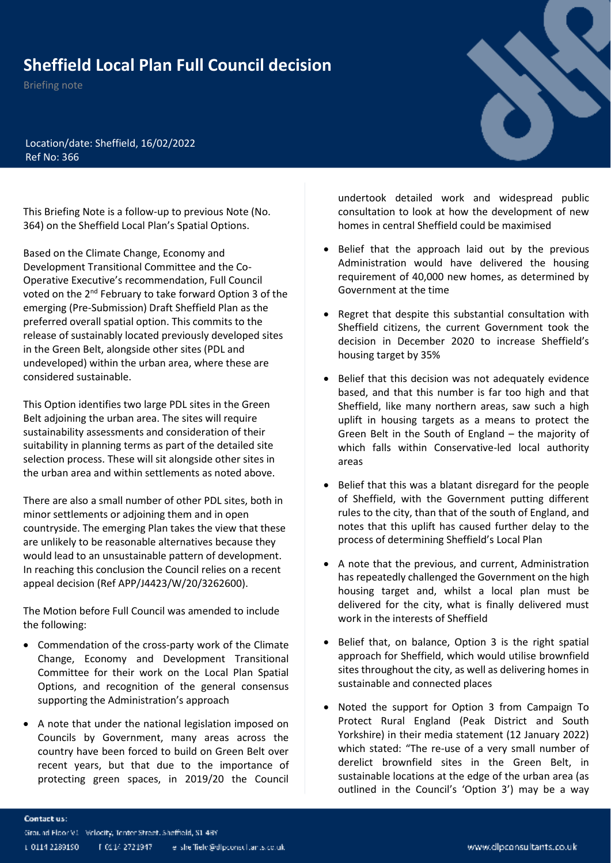## **Sheffield Local Plan Full Council decision**

Briefing note



Location/date: Sheffield, 16/02/2022 Ref No: 366

This Briefing Note is a follow-up to previous Note (No. 364) on the Sheffield Local Plan's Spatial Options.

Based on the Climate Change, Economy and Development Transitional Committee and the Co-Operative Executive's recommendation, Full Council voted on the 2<sup>nd</sup> February to take forward Option 3 of the emerging (Pre-Submission) Draft Sheffield Plan as the preferred overall spatial option. This commits to the release of sustainably located previously developed sites in the Green Belt, alongside other sites (PDL and undeveloped) within the urban area, where these are considered sustainable.

This Option identifies two large PDL sites in the Green Belt adjoining the urban area. The sites will require sustainability assessments and consideration of their suitability in planning terms as part of the detailed site selection process. These will sit alongside other sites in the urban area and within settlements as noted above.

There are also a small number of other PDL sites, both in minor settlements or adjoining them and in open countryside. The emerging Plan takes the view that these are unlikely to be reasonable alternatives because they would lead to an unsustainable pattern of development. In reaching this conclusion the Council relies on a recent appeal decision (Ref APP/J4423/W/20/3262600).

The Motion before Full Council was amended to include the following:

- Commendation of the cross-party work of the Climate Change, Economy and Development Transitional Committee for their work on the Local Plan Spatial Options, and recognition of the general consensus supporting the Administration's approach
- A note that under the national legislation imposed on Councils by Government, many areas across the country have been forced to build on Green Belt over recent years, but that due to the importance of protecting green spaces, in 2019/20 the Council

undertook detailed work and widespread public consultation to look at how the development of new homes in central Sheffield could be maximised

- Belief that the approach laid out by the previous Administration would have delivered the housing requirement of 40,000 new homes, as determined by Government at the time
- Regret that despite this substantial consultation with Sheffield citizens, the current Government took the decision in December 2020 to increase Sheffield's housing target by 35%
- Belief that this decision was not adequately evidence based, and that this number is far too high and that Sheffield, like many northern areas, saw such a high uplift in housing targets as a means to protect the Green Belt in the South of England – the majority of which falls within Conservative-led local authority areas
- Belief that this was a blatant disregard for the people of Sheffield, with the Government putting different rules to the city, than that of the south of England, and notes that this uplift has caused further delay to the process of determining Sheffield's Local Plan
- A note that the previous, and current, Administration has repeatedly challenged the Government on the high housing target and, whilst a local plan must be delivered for the city, what is finally delivered must work in the interests of Sheffield
- Belief that, on balance, Option 3 is the right spatial approach for Sheffield, which would utilise brownfield sites throughout the city, as well as delivering homes in sustainable and connected places
- Noted the support for Option 3 from Campaign To Protect Rural England (Peak District and South Yorkshire) in their media statement (12 January 2022) which stated: "The re-use of a very small number of derelict brownfield sites in the Green Belt, in sustainable locations at the edge of the urban area (as outlined in the Council's 'Option 3') may be a way

## Contact us: